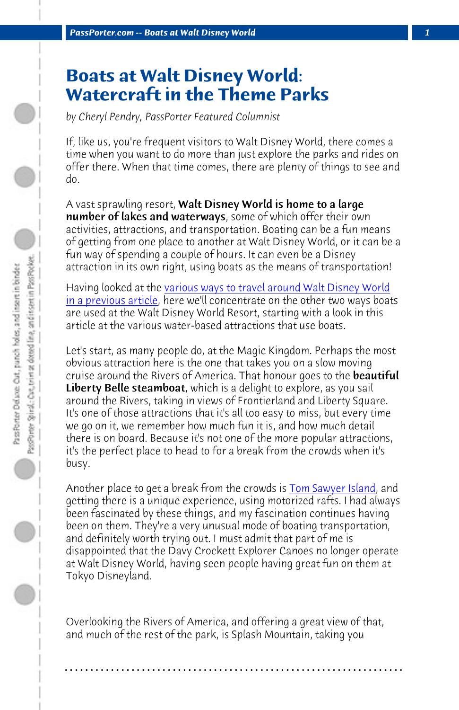*PassPorter.com -- Boats at Walt Disney World 1*

## **Boats at W[alt Disney World:](http://www.passporter.com/articles/walt-disney-world-transportation-part-1.html) [Watercraft](http://www.passporter.com/articles/walt-disney-world-transportation-part-1.html) in the Theme Parks**

*by Cheryl Pendry, PassPorter Featured Columnist*

If, like us, you're frequent visitors to Walt Disney World, there comes a time when you want to do more than just explore the parks and rides on offer there. When that time comes, there are plenty of things to see and do.

A vast sprawling resort, **Walt Disney World is home to a large** number of lakes and waterways, some of which offer their own activities, attractions, and transportation. Boating can be a fun means of getting from one place to another at Walt Disney World, or it can be a fun way of spending a couple of hours. It can even be a Disney attraction in its own right, using boats as the means of transportation!

Having looked at the various ways to travel arou[nd Walt Disney Wo](http://www.passporter.com/articles/tom-sawyer-island-magic-kingdom.html)rld in a previous article, here we'll concentrate on the other two ways boats are used at the Walt Disney World Resort, starting with a look in this article at the various water-based attractions that use boats.

Let's start, as many people do, at the Magic Kingdom. Perhaps the most obvious attraction here is the one that takes you on a slow moving cruise around the Rivers of America. That honour goes to the **beautiful** Liberty Belle steamboat, which is a delight to explore, as you sail around the Rivers, taking in views of Frontierland and Liberty Square. It's one of those attractions that it's all too easy to miss, but every time we go on it, we remember how much fun it is, and how much detail there is on board. Because it's not one of the more popular attractions, it's the perfect place to head to for a break from the crowds when it's busy.

Another place to get a break from the crowds is Tom Sawyer Island, and getting there is a unique experience, using motorized rafts. I had always been fascinated by these things, and my fascination continues having been on them. They're a very unusual mode of boating transportation, and definitely worth trying out. I must admit that part of me is disappointed that the Davy Crockett Explorer Canoes no longer operate at Walt Disney World, having seen people having great fun on them at Tokyo Disneyland.

Overlooking the Rivers of America, and offering a great view of that, and much of the rest of the park, is Splash Mountain, taking you

**. . . . . . . . . . . . . . . . . . . . . . . . . . . . . . . . . . . . . . . . . . . . . . . . . . . . . . . . . . . . . . . . . .**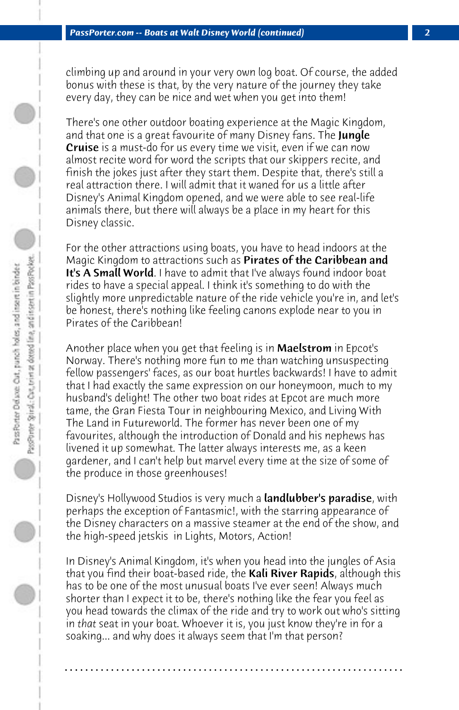climbing up and around in your very own log boat. Of course, the added bonus with these is that, by the very nature of the journey they take every day, they can be nice and wet when you get into them!

There's one other outdoor boating experience at the Magic Kingdom, and that one is a great favourite of many Disney fans. The Jungle Cruise is a must-do for us every time we visit, even if we can now almost recite word for word the scripts that our skippers recite, and finish the jokes just after they start them. Despite that, there's still a real attraction there. I will admit that it waned for us a little after Disney's Animal Kingdom opened, and we were able to see real-life animals there, but there will always be a place in my heart for this Disney classic.

For the other attractions using boats, you have to head indoors at the Magic Kingdom to attractions such as Pirates of the Caribbean and It's A Small World. I have to admit that I've always found indoor boat rides to have a special appeal. I think it's something to do with the slightly more unpredictable nature of the ride vehicle you're in, and let's be honest, there's nothing like feeling canons explode near to you in Pirates of the Caribbean!

Another place when you get that feeling is in Maelstrom in Epcot's Norway. There's nothing more fun to me than watching unsuspecting fellow passengers' faces, as our boat hurtles backwards! I have to admit that I had exactly the same expression on our honeymoon, much to my husband's delight! The other two boat rides at Epcot are much more tame, the Gran Fiesta Tour in neighbouring Mexico, and Living With The Land in Futureworld. The former has never been one of my favourites, although the introduction of Donald and his nephews has livened it up somewhat. The latter always interests me, as a keen gardener, and I can't help but marvel every time at the size of some of the produce in those greenhouses!

Disney's Hollywood Studios is very much a **landlubber's paradise**, with perhaps the exception of Fantasmic!, with the starring appearance of the Disney characters on a massive steamer at the end of the show, and the high-speed jetskis in Lights, Motors, Action!

In Disney's Animal Kingdom, it's when you head into the jungles of Asia that you find their boat-based ride, the **Kali River Rapids**, although this has to be one of the most unusual boats I've ever seen! Always much shorter than I expect it to be, there's nothing like the fear you feel as you head towards the climax of the ride and try to work out who's sitting in *that* seat in your boat. Whoever it is, you just know they're in for a soaking... and why does it always seem that I'm that person?

**. . . . . . . . . . . . . . . . . . . . . . . . . . . . . . . . . . . . . . . . . . . . . . . . . . . . . . . . . . . . . . . . . .**